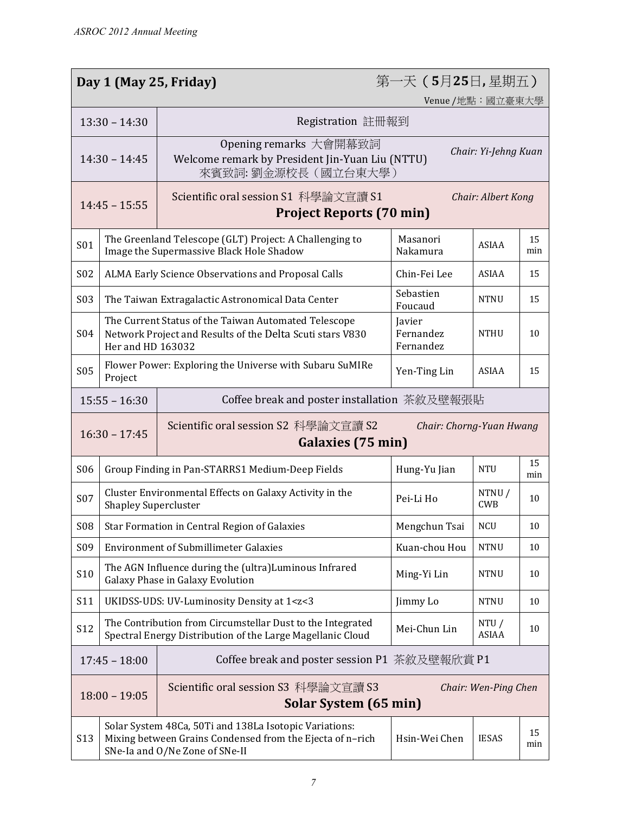|                                                                                                                  | 第一天 (5月25日,星期五)<br>Day 1 (May 25, Friday)                                                                                                                                                 |                                                                                                                                                       |                      |                      |           |  |
|------------------------------------------------------------------------------------------------------------------|-------------------------------------------------------------------------------------------------------------------------------------------------------------------------------------------|-------------------------------------------------------------------------------------------------------------------------------------------------------|----------------------|----------------------|-----------|--|
| Venue /地點:國立臺東大學                                                                                                 |                                                                                                                                                                                           |                                                                                                                                                       |                      |                      |           |  |
|                                                                                                                  | $13:30 - 14:30$<br>Registration 註冊報到                                                                                                                                                      |                                                                                                                                                       |                      |                      |           |  |
| $14:30 - 14:45$                                                                                                  |                                                                                                                                                                                           | Opening remarks 大會開幕致詞<br>Chair: Yi-Jehng Kuan<br>Welcome remark by President Jin-Yuan Liu (NTTU)<br>來賓致詞:劉金源校長(國立台東大學)                               |                      |                      |           |  |
| Scientific oral session S1 科學論文宣讀 S1<br>Chair: Albert Kong<br>$14:45 - 15:55$<br><b>Project Reports (70 min)</b> |                                                                                                                                                                                           |                                                                                                                                                       |                      |                      |           |  |
| <b>S01</b>                                                                                                       | The Greenland Telescope (GLT) Project: A Challenging to<br>Masanori<br><b>ASIAA</b><br>Image the Supermassive Black Hole Shadow<br>Nakamura                                               |                                                                                                                                                       |                      | 15<br>min            |           |  |
| <b>S02</b>                                                                                                       |                                                                                                                                                                                           | ALMA Early Science Observations and Proposal Calls<br>Chin-Fei Lee<br><b>ASIAA</b><br>15                                                              |                      |                      |           |  |
| S03                                                                                                              |                                                                                                                                                                                           | The Taiwan Extragalactic Astronomical Data Center                                                                                                     | Sebastien<br>Foucaud | <b>NTNU</b>          | 15        |  |
| S04                                                                                                              | The Current Status of the Taiwan Automated Telescope<br>Javier<br>Fernandez<br>Network Project and Results of the Delta Scuti stars V830<br><b>NTHU</b><br>Fernandez<br>Her and HD 163032 |                                                                                                                                                       |                      |                      | 10        |  |
| <b>S05</b>                                                                                                       | Project                                                                                                                                                                                   | Flower Power: Exploring the Universe with Subaru SuMIRe<br>Yen-Ting Lin<br><b>ASIAA</b><br>15                                                         |                      |                      |           |  |
|                                                                                                                  | $15:55 - 16:30$<br>Coffee break and poster installation 茶敘及壁報張貼                                                                                                                           |                                                                                                                                                       |                      |                      |           |  |
| Scientific oral session S2 科學論文宣讀 S2<br>Chair: Chorng-Yuan Hwang<br>$16:30 - 17:45$<br>Galaxies (75 min)         |                                                                                                                                                                                           |                                                                                                                                                       |                      |                      |           |  |
| <b>S06</b>                                                                                                       | Group Finding in Pan-STARRS1 Medium-Deep Fields                                                                                                                                           |                                                                                                                                                       | Hung-Yu Jian         | <b>NTU</b>           | 15<br>min |  |
| <b>S07</b>                                                                                                       | Cluster Environmental Effects on Galaxy Activity in the<br>NTNU/<br>Pei-Li Ho<br><b>CWB</b><br><b>Shapley Supercluster</b>                                                                |                                                                                                                                                       | 10                   |                      |           |  |
| <b>S08</b>                                                                                                       |                                                                                                                                                                                           | Star Formation in Central Region of Galaxies<br>Mengchun Tsai<br><b>NCU</b>                                                                           |                      |                      | 10        |  |
| S09                                                                                                              |                                                                                                                                                                                           | <b>Environment of Submillimeter Galaxies</b><br>Kuan-chou Hou<br><b>NTNU</b>                                                                          |                      | 10                   |           |  |
| S10                                                                                                              | The AGN Influence during the (ultra)Luminous Infrared<br>Ming-Yi Lin<br><b>NTNU</b><br>Galaxy Phase in Galaxy Evolution                                                                   |                                                                                                                                                       | 10                   |                      |           |  |
| S11                                                                                                              | Jimmy Lo<br><b>NTNU</b><br>UKIDSS-UDS: UV-Luminosity Density at 1 <z<3< td=""><td>10</td></z<3<>                                                                                          |                                                                                                                                                       | 10                   |                      |           |  |
| S12                                                                                                              | The Contribution from Circumstellar Dust to the Integrated<br>NTU/<br>Mei-Chun Lin<br><b>ASIAA</b><br>Spectral Energy Distribution of the Large Magellanic Cloud                          |                                                                                                                                                       | 10                   |                      |           |  |
| Coffee break and poster session P1 茶敘及壁報欣賞 P1<br>$17:45 - 18:00$                                                 |                                                                                                                                                                                           |                                                                                                                                                       |                      |                      |           |  |
|                                                                                                                  | $18:00 - 19:05$                                                                                                                                                                           | Scientific oral session S3 科學論文宣讀 S3<br>Solar System (65 min)                                                                                         |                      | Chair: Wen-Ping Chen |           |  |
| S13                                                                                                              |                                                                                                                                                                                           | Solar System 48Ca, 50Ti and 138La Isotopic Variations:<br>Mixing between Grains Condensed from the Ejecta of n-rich<br>SNe-Ia and O/Ne Zone of SNe-II | Hsin-Wei Chen        | <b>IESAS</b>         | 15<br>min |  |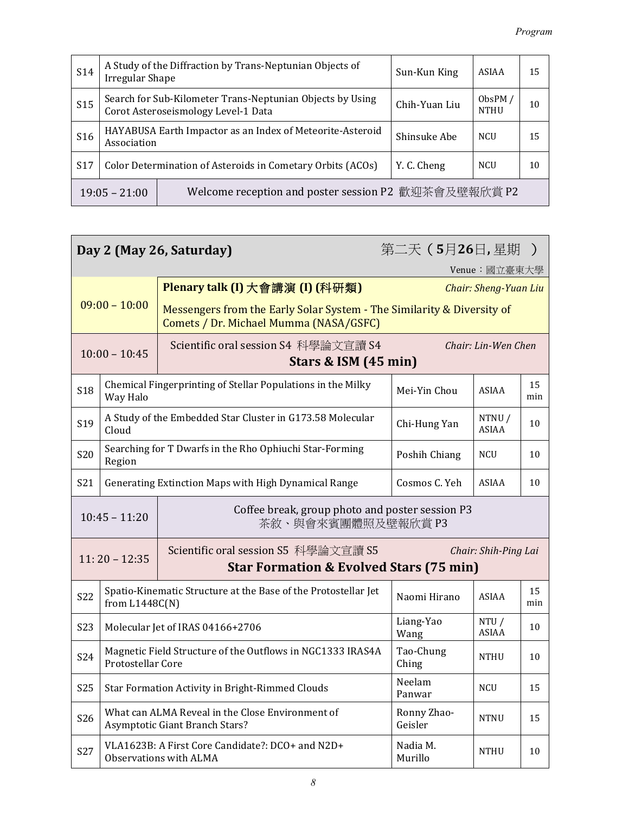| S <sub>14</sub>                                                         | A Study of the Diffraction by Trans-Neptunian Objects of<br>Sun-Kun King<br><b>Irregular Shape</b>                                            |                                                           |              | <b>ASIAA</b> | 15 |
|-------------------------------------------------------------------------|-----------------------------------------------------------------------------------------------------------------------------------------------|-----------------------------------------------------------|--------------|--------------|----|
| <b>S15</b>                                                              | Search for Sub-Kilometer Trans-Neptunian Objects by Using<br>ObsPM $/$<br>Chih-Yuan Liu<br>Corot Asteroseismology Level-1 Data<br><b>NTHU</b> |                                                           |              | 10           |    |
| S <sub>16</sub>                                                         | Association                                                                                                                                   | HAYABUSA Earth Impactor as an Index of Meteorite-Asteroid | Shinsuke Abe | <b>NCU</b>   | 15 |
| S17                                                                     | Color Determination of Asteroids in Cometary Orbits (ACOs)<br>Y. C. Cheng<br><b>NCU</b>                                                       |                                                           | 10           |              |    |
| Welcome reception and poster session P2 歡迎茶會及壁報欣賞 P2<br>$19:05 - 21:00$ |                                                                                                                                               |                                                           |              |              |    |

| 第二天 (5月26日,星期)<br>Day 2 (May 26, Saturday)                                                                                            |                                                                                                                             |                                                                                                                  |                       |               |           |  |
|---------------------------------------------------------------------------------------------------------------------------------------|-----------------------------------------------------------------------------------------------------------------------------|------------------------------------------------------------------------------------------------------------------|-----------------------|---------------|-----------|--|
|                                                                                                                                       |                                                                                                                             |                                                                                                                  |                       | Venue: 國立臺東大學 |           |  |
| $09:00 - 10:00$                                                                                                                       |                                                                                                                             | Plenary talk (I) 大會講演 (I) (科研類)                                                                                  | Chair: Sheng-Yuan Liu |               |           |  |
|                                                                                                                                       |                                                                                                                             | Messengers from the Early Solar System - The Similarity & Diversity of<br>Comets / Dr. Michael Mumma (NASA/GSFC) |                       |               |           |  |
| $10:00 - 10:45$                                                                                                                       |                                                                                                                             | Scientific oral session S4 科學論文宣讀 S4<br>Chair: Lin-Wen Chen<br>Stars & ISM (45 min)                              |                       |               |           |  |
| <b>S18</b>                                                                                                                            | Chemical Fingerprinting of Stellar Populations in the Milky<br>Way Halo                                                     |                                                                                                                  | Mei-Yin Chou          | ASIAA         | 15<br>min |  |
| S19                                                                                                                                   | A Study of the Embedded Star Cluster in G173.58 Molecular<br>NTNU/<br>Chi-Hung Yan<br>ASIAA<br>Cloud                        |                                                                                                                  |                       |               | 10        |  |
| <b>S20</b>                                                                                                                            | Searching for T Dwarfs in the Rho Ophiuchi Star-Forming<br>Poshih Chiang<br><b>NCU</b><br>Region                            |                                                                                                                  |                       |               | 10        |  |
| S21                                                                                                                                   | Cosmos C. Yeh<br><b>ASIAA</b><br>Generating Extinction Maps with High Dynamical Range                                       |                                                                                                                  |                       |               | 10        |  |
|                                                                                                                                       | Coffee break, group photo and poster session P3<br>$10:45 - 11:20$<br>茶敘、與會來賓團體照及壁報欣賞 P3                                    |                                                                                                                  |                       |               |           |  |
| Scientific oral session S5 科學論文宣讀 S5<br>Chair: Shih-Ping Lai<br>$11:20 - 12:35$<br><b>Star Formation &amp; Evolved Stars (75 min)</b> |                                                                                                                             |                                                                                                                  |                       |               |           |  |
| S22                                                                                                                                   | from $L1448C(N)$                                                                                                            | Spatio-Kinematic Structure at the Base of the Protostellar Jet                                                   | Naomi Hirano          | <b>ASIAA</b>  | 15<br>min |  |
| <b>S23</b>                                                                                                                            | Liang-Yao<br>NTU /<br>Molecular Jet of IRAS 04166+2706<br><b>ASIAA</b><br>Wang                                              |                                                                                                                  | 10                    |               |           |  |
| S24                                                                                                                                   | Magnetic Field Structure of the Outflows in NGC1333 IRAS4A<br>Tao-Chung<br><b>NTHU</b><br>Protostellar Core<br>Ching        |                                                                                                                  |                       | 10            |           |  |
| <b>S25</b>                                                                                                                            | Neelam<br>Star Formation Activity in Bright-Rimmed Clouds<br><b>NCU</b><br>Panwar                                           |                                                                                                                  |                       |               | 15        |  |
| S26                                                                                                                                   | What can ALMA Reveal in the Close Environment of<br>Ronny Zhao-<br><b>NTNU</b><br>Asymptotic Giant Branch Stars?<br>Geisler |                                                                                                                  |                       | 15            |           |  |
| S27                                                                                                                                   | VLA1623B: A First Core Candidate?: DCO+ and N2D+<br>Nadia M.<br><b>NTHU</b><br>Murillo<br><b>Observations with ALMA</b>     |                                                                                                                  |                       |               | 10        |  |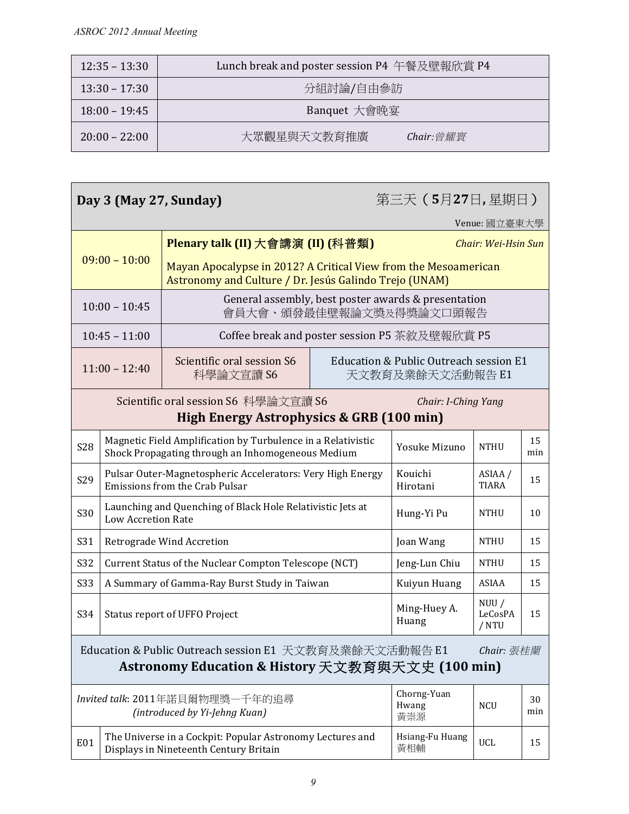| $12:35 - 13:30$ | Lunch break and poster session P4 午餐及壁報欣賞 P4 |  |  |
|-----------------|----------------------------------------------|--|--|
| $13:30 - 17:30$ | 分組討論/自由參訪                                    |  |  |
| $18:00 - 19:45$ | Banquet 大會晚宴                                 |  |  |
| $20:00 - 22:00$ | 大眾觀星與天文教育推廣<br>$Chair:  \n\mathscr{C}$ 耀寰    |  |  |

| 第三天(5月27日,星期日)<br>Day 3 (May 27, Sunday)                                                                                  |                                                                                                                                                   |                                                                                                                           |             |                                                            |                     |  |  |
|---------------------------------------------------------------------------------------------------------------------------|---------------------------------------------------------------------------------------------------------------------------------------------------|---------------------------------------------------------------------------------------------------------------------------|-------------|------------------------------------------------------------|---------------------|--|--|
|                                                                                                                           |                                                                                                                                                   |                                                                                                                           |             |                                                            | Venue: 國立臺東大學       |  |  |
|                                                                                                                           |                                                                                                                                                   | Plenary talk (II) 大會講演 (II) (科普類)                                                                                         |             |                                                            | Chair: Wei-Hsin Sun |  |  |
|                                                                                                                           | $09:00 - 10:00$                                                                                                                                   | Mayan Apocalypse in 2012? A Critical View from the Mesoamerican<br>Astronomy and Culture / Dr. Jesús Galindo Trejo (UNAM) |             |                                                            |                     |  |  |
| $10:00 - 10:45$                                                                                                           |                                                                                                                                                   | General assembly, best poster awards & presentation<br>會員大會、頒發最佳壁報論文獎及得獎論文口頭報告                                            |             |                                                            |                     |  |  |
|                                                                                                                           | $10:45 - 11:00$                                                                                                                                   | Coffee break and poster session P5 茶敘及壁報欣賞 P5                                                                             |             |                                                            |                     |  |  |
| $11:00 - 12:40$                                                                                                           |                                                                                                                                                   | Scientific oral session S6<br>科學論文宣讀 S6                                                                                   |             | Education & Public Outreach session E1<br>天文教育及業餘天文活動報告 E1 |                     |  |  |
|                                                                                                                           |                                                                                                                                                   | Scientific oral session S6 科學論文宣讀 S6<br>High Energy Astrophysics & GRB (100 min)                                          |             | Chair: I-Ching Yang                                        |                     |  |  |
| <b>S28</b>                                                                                                                | Magnetic Field Amplification by Turbulence in a Relativistic<br>Yosuke Mizuno<br><b>NTHU</b><br>Shock Propagating through an Inhomogeneous Medium |                                                                                                                           |             |                                                            | 15<br>min           |  |  |
| S29                                                                                                                       | Pulsar Outer-Magnetospheric Accelerators: Very High Energy<br>Kouichi<br>ASIAA /<br>Emissions from the Crab Pulsar<br><b>TIARA</b><br>Hirotani    |                                                                                                                           |             | 15                                                         |                     |  |  |
| S30                                                                                                                       | Launching and Quenching of Black Hole Relativistic Jets at<br><b>NTHU</b><br>Hung-Yi Pu<br><b>Low Accretion Rate</b>                              |                                                                                                                           |             | 10                                                         |                     |  |  |
| S31                                                                                                                       | Retrograde Wind Accretion<br><b>NTHU</b><br>Joan Wang                                                                                             |                                                                                                                           |             | 15                                                         |                     |  |  |
| S32<br>Current Status of the Nuclear Compton Telescope (NCT)                                                              |                                                                                                                                                   | Jeng-Lun Chiu                                                                                                             | <b>NTHU</b> | 15                                                         |                     |  |  |
| <b>S33</b>                                                                                                                | A Summary of Gamma-Ray Burst Study in Taiwan<br>Kuiyun Huang<br>ASIAA                                                                             |                                                                                                                           | 15          |                                                            |                     |  |  |
| S34                                                                                                                       | NUU/<br>Ming-Huey A.<br>LeCosPA<br>Status report of UFFO Project<br>Huang<br>/ NTU                                                                |                                                                                                                           |             | 15                                                         |                     |  |  |
| Education & Public Outreach session E1 天文教育及業餘天文活動報告 E1<br>Chair: 張桂蘭<br>Astronomy Education & History 天文教育與天文史 (100 min) |                                                                                                                                                   |                                                                                                                           |             |                                                            |                     |  |  |
|                                                                                                                           | Chorng-Yuan<br>Invited talk: 2011年諾貝爾物理獎一千年的追尋<br>Hwang<br><b>NCU</b><br>(introduced by Yi-Jehng Kuan)<br>黃崇源                                     |                                                                                                                           |             | 30<br>min                                                  |                     |  |  |
| <b>E01</b>                                                                                                                | The Universe in a Cockpit: Popular Astronomy Lectures and<br>Hsiang-Fu Huang<br><b>UCL</b><br>黃相輔<br>Displays in Nineteenth Century Britain       |                                                                                                                           |             | 15                                                         |                     |  |  |